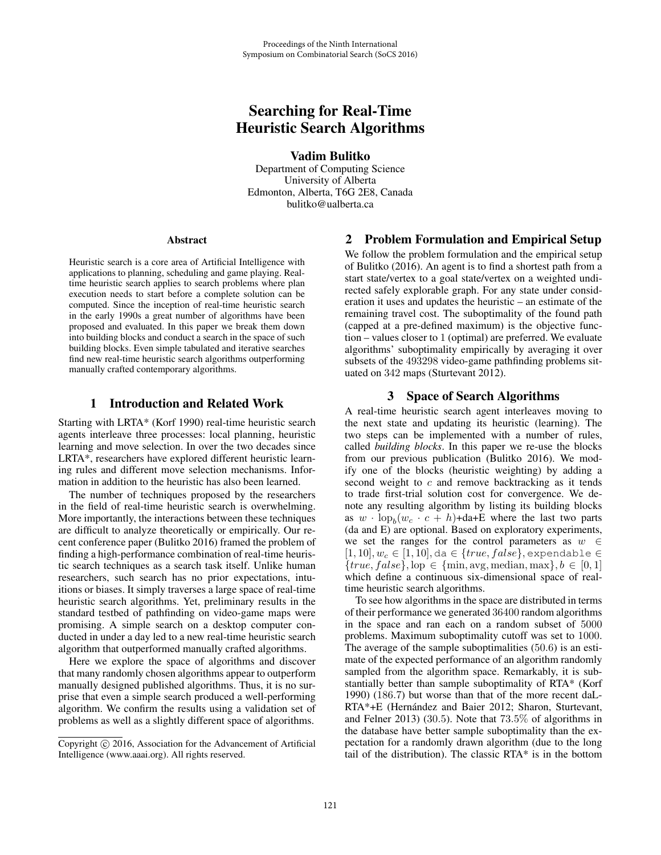# Searching for Real-Time Heuristic Search Algorithms

Vadim Bulitko

Department of Computing Science University of Alberta Edmonton, Alberta, T6G 2E8, Canada bulitko@ualberta.ca

#### Abstract

Heuristic search is a core area of Artificial Intelligence with applications to planning, scheduling and game playing. Realtime heuristic search applies to search problems where plan execution needs to start before a complete solution can be computed. Since the inception of real-time heuristic search in the early 1990s a great number of algorithms have been proposed and evaluated. In this paper we break them down into building blocks and conduct a search in the space of such building blocks. Even simple tabulated and iterative searches find new real-time heuristic search algorithms outperforming manually crafted contemporary algorithms.

## 1 Introduction and Related Work

Starting with LRTA\* (Korf 1990) real-time heuristic search agents interleave three processes: local planning, heuristic learning and move selection. In over the two decades since LRTA\*, researchers have explored different heuristic learning rules and different move selection mechanisms. Information in addition to the heuristic has also been learned.

The number of techniques proposed by the researchers in the field of real-time heuristic search is overwhelming. More importantly, the interactions between these techniques are difficult to analyze theoretically or empirically. Our recent conference paper (Bulitko 2016) framed the problem of finding a high-performance combination of real-time heuristic search techniques as a search task itself. Unlike human researchers, such search has no prior expectations, intuitions or biases. It simply traverses a large space of real-time heuristic search algorithms. Yet, preliminary results in the standard testbed of pathfinding on video-game maps were promising. A simple search on a desktop computer conducted in under a day led to a new real-time heuristic search algorithm that outperformed manually crafted algorithms.

Here we explore the space of algorithms and discover that many randomly chosen algorithms appear to outperform manually designed published algorithms. Thus, it is no surprise that even a simple search produced a well-performing algorithm. We confirm the results using a validation set of problems as well as a slightly different space of algorithms.

## 2 Problem Formulation and Empirical Setup

We follow the problem formulation and the empirical setup of Bulitko (2016). An agent is to find a shortest path from a start state/vertex to a goal state/vertex on a weighted undirected safely explorable graph. For any state under consideration it uses and updates the heuristic – an estimate of the remaining travel cost. The suboptimality of the found path (capped at a pre-defined maximum) is the objective function – values closer to 1 (optimal) are preferred. We evaluate algorithms' suboptimality empirically by averaging it over subsets of the 493298 video-game pathfinding problems situated on 342 maps (Sturtevant 2012).

## 3 Space of Search Algorithms

A real-time heuristic search agent interleaves moving to the next state and updating its heuristic (learning). The two steps can be implemented with a number of rules, called *building blocks*. In this paper we re-use the blocks from our previous publication (Bulitko 2016). We modify one of the blocks (heuristic weighting) by adding a second weight to  $c$  and remove backtracking as it tends to trade first-trial solution cost for convergence. We denote any resulting algorithm by listing its building blocks as  $w \cdot \log_b(w_c \cdot c + h) + da + E$  where the last two parts (da and E) are optional. Based on exploratory experiments, we set the ranges for the control parameters as  $w \in$  $[1, 10], w_c \in [1, 10],$  da  $\in \{true, false\},$  expendable  $\in$  ${true, false}, \text{lop} \in \{\text{min}, \text{avg}, \text{median}, \text{max}\}, b \in [0, 1]$ which define a continuous six-dimensional space of realtime heuristic search algorithms.

To see how algorithms in the space are distributed in terms of their performance we generated 36400 random algorithms in the space and ran each on a random subset of 5000 problems. Maximum suboptimality cutoff was set to 1000. The average of the sample suboptimalities (50.6) is an estimate of the expected performance of an algorithm randomly sampled from the algorithm space. Remarkably, it is substantially better than sample suboptimality of RTA\* (Korf 1990) (186.7) but worse than that of the more recent daL-RTA\*+E (Hernández and Baier 2012; Sharon, Sturtevant, and Felner 2013) (30.5). Note that 73.5% of algorithms in the database have better sample suboptimality than the expectation for a randomly drawn algorithm (due to the long tail of the distribution). The classic RTA\* is in the bottom

Copyright  $\odot$  2016, Association for the Advancement of Artificial Intelligence (www.aaai.org). All rights reserved.